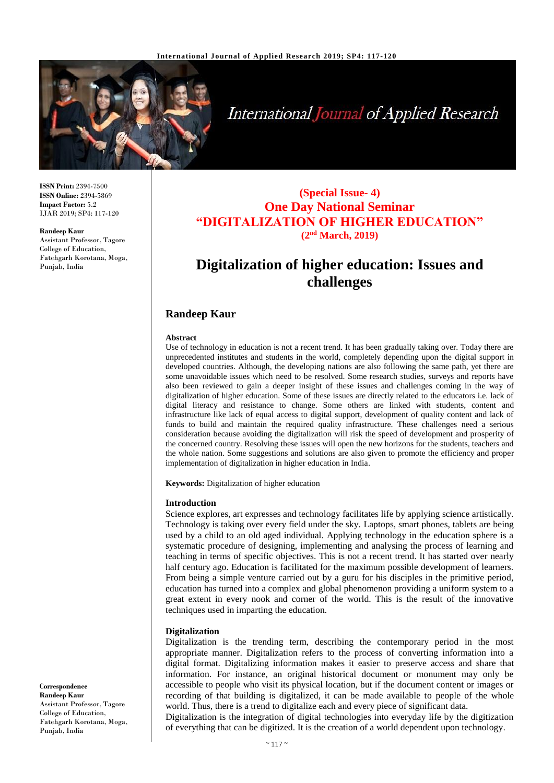

# **International Journal of Applied Research**

**ISSN Print:** 2394-7500 **ISSN Online:** 2394-5869 **Impact Factor:** 5.2 IJAR 2019; SP4: 117-120

**Randeep Kaur** Assistant Professor, Tagore College of Education, Fatehgarh Korotana, Moga, Punjab, India

### **(Special Issue- 4) One Day National Seminar "DIGITALIZATION OF HIGHER EDUCATION" (2nd March, 2019)**

## **Digitalization of higher education: Issues and challenges**

#### **Randeep Kaur**

#### **Abstract**

Use of technology in education is not a recent trend. It has been gradually taking over. Today there are unprecedented institutes and students in the world, completely depending upon the digital support in developed countries. Although, the developing nations are also following the same path, yet there are some unavoidable issues which need to be resolved. Some research studies, surveys and reports have also been reviewed to gain a deeper insight of these issues and challenges coming in the way of digitalization of higher education. Some of these issues are directly related to the educators i.e. lack of digital literacy and resistance to change. Some others are linked with students, content and infrastructure like lack of equal access to digital support, development of quality content and lack of funds to build and maintain the required quality infrastructure. These challenges need a serious consideration because avoiding the digitalization will risk the speed of development and prosperity of the concerned country. Resolving these issues will open the new horizons for the students, teachers and the whole nation. Some suggestions and solutions are also given to promote the efficiency and proper implementation of digitalization in higher education in India.

**Keywords:** Digitalization of higher education

#### **Introduction**

Science explores, art expresses and technology facilitates life by applying science artistically. Technology is taking over every field under the sky. Laptops, smart phones, tablets are being used by a child to an old aged individual. Applying technology in the education sphere is a systematic procedure of designing, implementing and analysing the process of learning and teaching in terms of specific objectives. This is not a recent trend. It has started over nearly half century ago. Education is facilitated for the maximum possible development of learners. From being a simple venture carried out by a guru for his disciples in the primitive period, education has turned into a complex and global phenomenon providing a uniform system to a great extent in every nook and corner of the world. This is the result of the innovative techniques used in imparting the education.

#### **Digitalization**

Digitalization is the trending term, describing the contemporary period in the most appropriate manner. Digitalization refers to the process of converting information into a digital format. Digitalizing information makes it easier to preserve access and share that information. For instance, an original historical document or monument may only be accessible to people who visit its physical location, but if the document content or images or recording of that building is digitalized, it can be made available to people of the whole world. Thus, there is a trend to digitalize each and every piece of significant data.

Digitalization is the integration of digital technologies into everyday life by the digitization of everything that can be digitized. It is the creation of a world dependent upon technology.

**Correspondence Randeep Kaur** Assistant Professor, Tagore College of Education, Fatehgarh Korotana, Moga, Punjab, India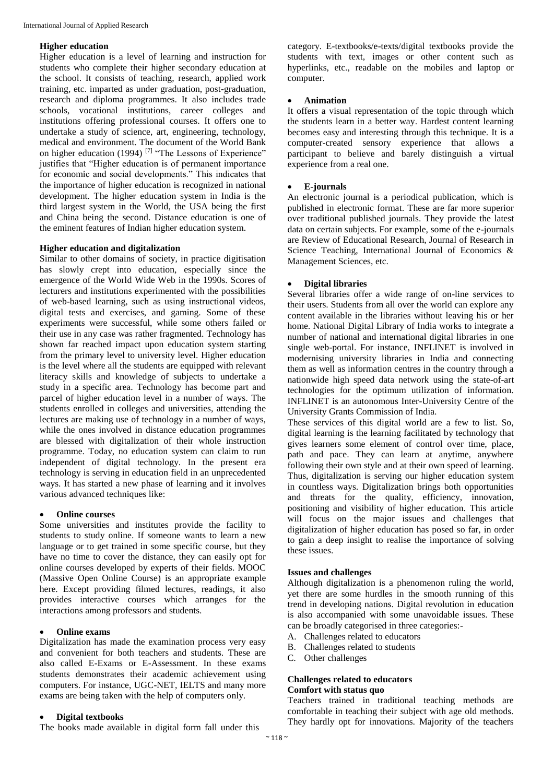#### **Higher education**

Higher education is a level of learning and instruction for students who complete their higher secondary education at the school. It consists of teaching, research, applied work training, etc. imparted as under graduation, post-graduation, research and diploma programmes. It also includes trade schools, vocational institutions, career colleges and institutions offering professional courses. It offers one to undertake a study of science, art, engineering, technology, medical and environment. The document of the World Bank on higher education (1994)<sup>[7]</sup> "The Lessons of Experience" justifies that "Higher education is of permanent importance for economic and social developments." This indicates that the importance of higher education is recognized in national development. The higher education system in India is the third largest system in the World, the USA being the first and China being the second. Distance education is one of the eminent features of Indian higher education system.

#### **Higher education and digitalization**

Similar to other domains of society, in practice digitisation has slowly crept into education, especially since the emergence of the World Wide Web in the 1990s. Scores of lecturers and institutions experimented with the possibilities of web-based learning, such as using instructional videos, digital tests and exercises, and gaming. Some of these experiments were successful, while some others failed or their use in any case was rather fragmented. Technology has shown far reached impact upon education system starting from the primary level to university level. Higher education is the level where all the students are equipped with relevant literacy skills and knowledge of subjects to undertake a study in a specific area. Technology has become part and parcel of higher education level in a number of ways. The students enrolled in colleges and universities, attending the lectures are making use of technology in a number of ways, while the ones involved in distance education programmes are blessed with digitalization of their whole instruction programme. Today, no education system can claim to run independent of digital technology. In the present era technology is serving in education field in an unprecedented ways. It has started a new phase of learning and it involves various advanced techniques like:

#### **Online courses**

Some universities and institutes provide the facility to students to study online. If someone wants to learn a new language or to get trained in some specific course, but they have no time to cover the distance, they can easily opt for online courses developed by experts of their fields. MOOC (Massive Open Online Course) is an appropriate example here. Except providing filmed lectures, readings, it also provides interactive courses which arranges for the interactions among professors and students.

#### **Online exams**

Digitalization has made the examination process very easy and convenient for both teachers and students. These are also called E-Exams or E-Assessment. In these exams students demonstrates their academic achievement using computers. For instance, UGC-NET, IELTS and many more exams are being taken with the help of computers only.

#### **Digital textbooks**

The books made available in digital form fall under this

category. E-textbooks/e-texts/digital textbooks provide the students with text, images or other content such as hyperlinks, etc., readable on the mobiles and laptop or computer.

#### **Animation**

It offers a visual representation of the topic through which the students learn in a better way. Hardest content learning becomes easy and interesting through this technique. It is a computer-created sensory experience that allows a participant to believe and barely distinguish a virtual experience from a real one.

#### **E-journals**

An electronic journal is a periodical publication, which is published in electronic format. These are far more superior over traditional published journals. They provide the latest data on certain subjects. For example, some of the e-journals are Review of Educational Research, Journal of Research in Science Teaching, International Journal of Economics & Management Sciences, etc.

#### **Digital libraries**

Several libraries offer a wide range of on-line services to their users. Students from all over the world can explore any content available in the libraries without leaving his or her home. National Digital Library of India works to integrate a number of national and international digital libraries in one single web-portal. For instance, INFLINET is involved in modernising university libraries in India and connecting them as well as information centres in the country through a nationwide high speed data network using the state-of-art technologies for the optimum utilization of information. INFLINET is an autonomous Inter-University Centre of the University Grants Commission of India.

These services of this digital world are a few to list. So, digital learning is the learning facilitated by technology that gives learners some element of control over time, place, path and pace. They can learn at anytime, anywhere following their own style and at their own speed of learning. Thus, digitalization is serving our higher education system in countless ways. Digitalization brings both opportunities and threats for the quality, efficiency, innovation, positioning and visibility of higher education. This article will focus on the major issues and challenges that digitalization of higher education has posed so far, in order to gain a deep insight to realise the importance of solving these issues.

#### **Issues and challenges**

Although digitalization is a phenomenon ruling the world, yet there are some hurdles in the smooth running of this trend in developing nations. Digital revolution in education is also accompanied with some unavoidable issues. These can be broadly categorised in three categories:-

- A. Challenges related to educators
- B. Challenges related to students
- C. Other challenges

#### **Challenges related to educators Comfort with status quo**

Teachers trained in traditional teaching methods are comfortable in teaching their subject with age old methods. They hardly opt for innovations. Majority of the teachers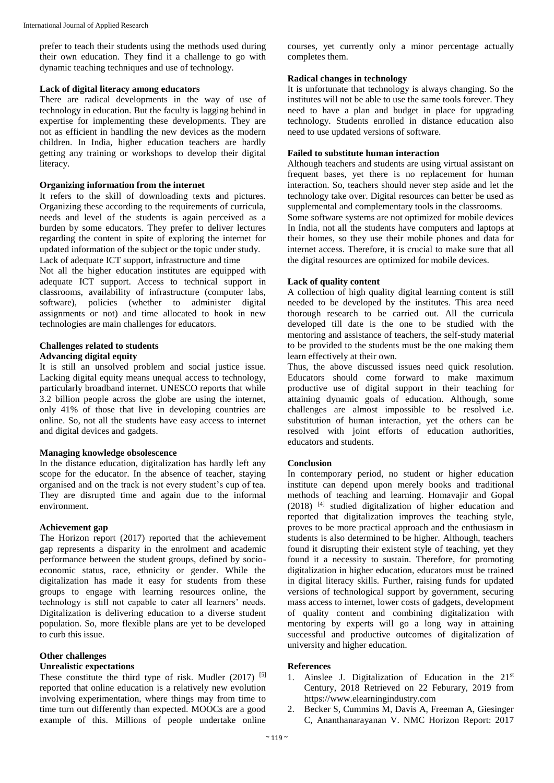prefer to teach their students using the methods used during their own education. They find it a challenge to go with dynamic teaching techniques and use of technology.

#### **Lack of digital literacy among educators**

There are radical developments in the way of use of technology in education. But the faculty is lagging behind in expertise for implementing these developments. They are not as efficient in handling the new devices as the modern children. In India, higher education teachers are hardly getting any training or workshops to develop their digital literacy.

#### **Organizing information from the internet**

It refers to the skill of downloading texts and pictures. Organizing these according to the requirements of curricula, needs and level of the students is again perceived as a burden by some educators. They prefer to deliver lectures regarding the content in spite of exploring the internet for updated information of the subject or the topic under study. Lack of adequate ICT support, infrastructure and time

Not all the higher education institutes are equipped with adequate ICT support. Access to technical support in classrooms, availability of infrastructure (computer labs, software), policies (whether to administer digital assignments or not) and time allocated to hook in new technologies are main challenges for educators.

#### **Challenges related to students**

#### **Advancing digital equity**

It is still an unsolved problem and social justice issue. Lacking digital equity means unequal access to technology, particularly broadband internet. UNESCO reports that while 3.2 billion people across the globe are using the internet, only 41% of those that live in developing countries are online. So, not all the students have easy access to internet and digital devices and gadgets.

#### **Managing knowledge obsolescence**

In the distance education, digitalization has hardly left any scope for the educator. In the absence of teacher, staying organised and on the track is not every student's cup of tea. They are disrupted time and again due to the informal environment.

#### **Achievement gap**

The Horizon report (2017) reported that the achievement gap represents a disparity in the enrolment and academic performance between the student groups, defined by socioeconomic status, race, ethnicity or gender. While the digitalization has made it easy for students from these groups to engage with learning resources online, the technology is still not capable to cater all learners' needs. Digitalization is delivering education to a diverse student population. So, more flexible plans are yet to be developed to curb this issue.

#### **Other challenges**

#### **Unrealistic expectations**

These constitute the third type of risk. Mudler (2017) <sup>[5]</sup> reported that online education is a relatively new evolution involving experimentation, where things may from time to time turn out differently than expected. MOOCs are a good example of this. Millions of people undertake online courses, yet currently only a minor percentage actually completes them.

#### **Radical changes in technology**

It is unfortunate that technology is always changing. So the institutes will not be able to use the same tools forever. They need to have a plan and budget in place for upgrading technology. Students enrolled in distance education also need to use updated versions of software.

#### **Failed to substitute human interaction**

Although teachers and students are using virtual assistant on frequent bases, yet there is no replacement for human interaction. So, teachers should never step aside and let the technology take over. Digital resources can better be used as supplemental and complementary tools in the classrooms.

Some software systems are not optimized for mobile devices In India, not all the students have computers and laptops at their homes, so they use their mobile phones and data for internet access. Therefore, it is crucial to make sure that all the digital resources are optimized for mobile devices.

#### **Lack of quality content**

A collection of high quality digital learning content is still needed to be developed by the institutes. This area need thorough research to be carried out. All the curricula developed till date is the one to be studied with the mentoring and assistance of teachers, the self-study material to be provided to the students must be the one making them learn effectively at their own.

Thus, the above discussed issues need quick resolution. Educators should come forward to make maximum productive use of digital support in their teaching for attaining dynamic goals of education. Although, some challenges are almost impossible to be resolved i.e. substitution of human interaction, yet the others can be resolved with joint efforts of education authorities, educators and students.

#### **Conclusion**

In contemporary period, no student or higher education institute can depend upon merely books and traditional methods of teaching and learning. Homavajir and Gopal  $(2018)$  <sup>[4]</sup> studied digitalization of higher education and reported that digitalization improves the teaching style, proves to be more practical approach and the enthusiasm in students is also determined to be higher. Although, teachers found it disrupting their existent style of teaching, yet they found it a necessity to sustain. Therefore, for promoting digitalization in higher education, educators must be trained in digital literacy skills. Further, raising funds for updated versions of technological support by government, securing mass access to internet, lower costs of gadgets, development of quality content and combining digitalization with mentoring by experts will go a long way in attaining successful and productive outcomes of digitalization of university and higher education.

#### **References**

- 1. Ainslee J. Digitalization of Education in the 21st Century, 2018 Retrieved on 22 Feburary, 2019 from https://www.elearningindustry.com
- 2. Becker S, Cummins M, Davis A, Freeman A, Giesinger C, Ananthanarayanan V. NMC Horizon Report: 2017